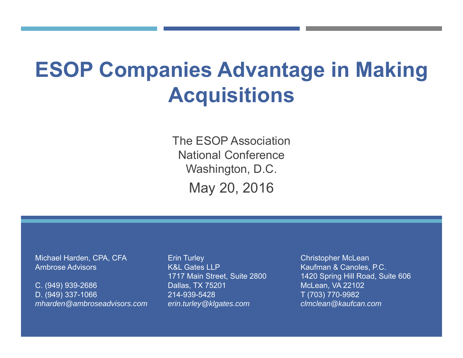# **ESOP Companies Advantage in Making Acquisitions**

The ESOP AssociationNational ConferenceWashington, D.C. May 20, 2016

Michael Harden, CPA, CFA Ambrose Advisors

C. (949) 939-2686 D. (949) 337-1066 *mharden@ambroseadvisors.com* Erin Turley K&L Gates LLP1717 Main Street, Suite 2800 Dallas, TX 75201 214-939-5428 *erin.turley@klgates.com*

Christopher McLean Kaufman & Canoles, P.C. 1420 Spring Hill Road, Suite 606 McLean, VA 22102 T (703) 770-9982 *clmclean@kaufcan.com*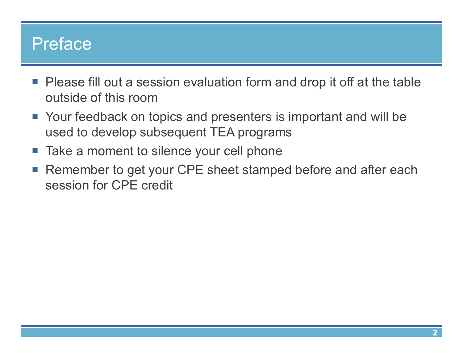#### Preface

- Please fill out a session evaluation form and drop it off at the table outside of this room
- Your feedback on topics and presenters is important and will be used to develop subsequent TEA programs
- Take a moment to silence your cell phone
- Remember to get your CPE sheet stamped before and after each session for CPE credit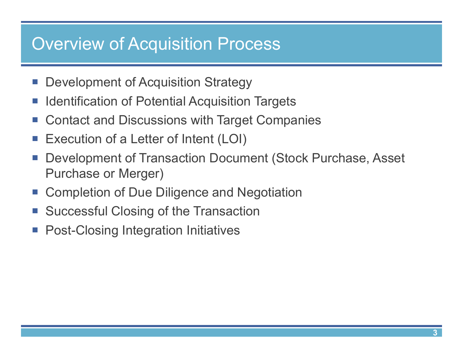#### Overview of Acquisition Process

- p. Development of Acquisition Strategy
- p. Identification of Potential Acquisition Targets
- $\mathcal{L}_{\mathcal{A}}$ Contact and Discussions with Target Companies
- p. Execution of a Letter of Intent (LOI)
- p. Development of Transaction Document (Stock Purchase, Asset Purchase or Merger)
- **E** Completion of Due Diligence and Negotiation
- þ. Successful Closing of the Transaction
- **Post-Closing Integration Initiatives**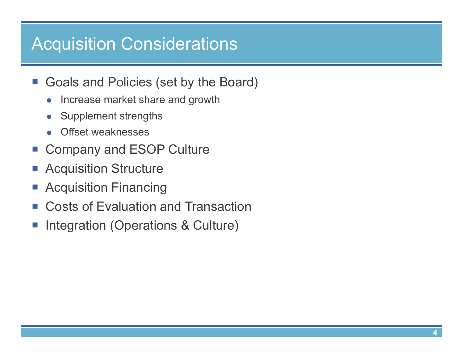#### Acquisition Considerations

- $\mathcal{L}_{\mathcal{A}}$  Goals and Policies (set by the Board)
	- $\bullet$ Increase market share and growth
	- $\bullet$ Supplement strengths
	- $\bullet$ Offset weaknesses
- p. Company and ESOP Culture
- p. Acquisition Structure
- p. Acquisition Financing
- $\Box$ Costs of Evaluation and Transaction
- þ. Integration (Operations & Culture)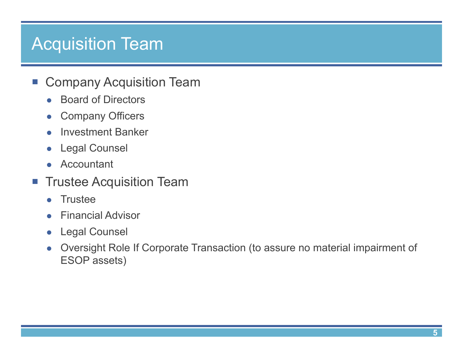#### Acquisition Team

- $\mathcal{L}_{\mathcal{A}}$  Company Acquisition Team
	- $\bullet$ Board of Directors
	- $\bullet$ Company Officers
	- $\bullet$ Investment Banker
	- $\bullet$ Legal Counsel
	- $\bullet$ Accountant
- $\mathcal{L}_{\mathcal{A}}$  Trustee Acquisition Team
	- $\bullet$ **Trustee**
	- $\bullet$ Financial Advisor
	- $\bullet$ Legal Counsel
	- $\bullet$  Oversight Role If Corporate Transaction (to assure no material impairment of ESOP assets)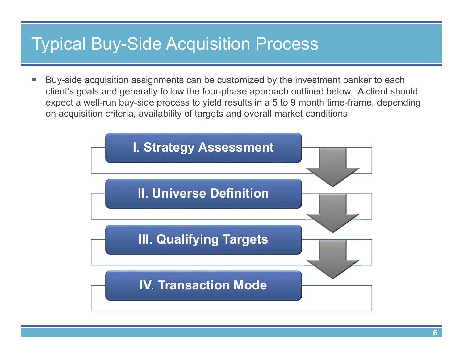#### Typical Buy-Side Acquisition Process

 $\| \cdot \|$  Buy-side acquisition assignments can be customized by the investment banker to each client's goals and generally follow the four-phase approach outlined below. A client should expect a well-run buy-side process to yield results in a 5 to 9 month time-frame, depending on acquisition criteria, availability of targets and overall market conditions

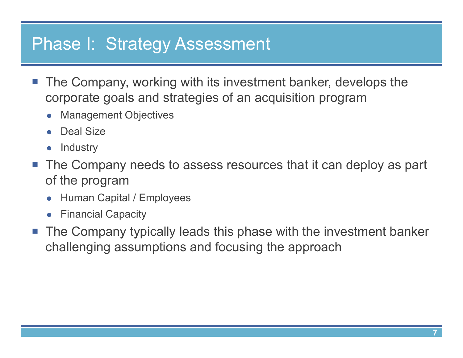#### Phase I: Strategy Assessment

- $\overline{\mathcal{L}}$  The Company, working with its investment banker, develops the corporate goals and strategies of an acquisition program
	- $\bullet$ Management Objectives
	- $\bullet$ Deal Size
	- $\bullet$ **Industry**
- The Company needs to assess resources that it can deploy as part of the program
	- $\bullet$ Human Capital / Employees
	- **•** Financial Capacity
- The Company typically leads this phase with the investment banker challenging assumptions and focusing the approach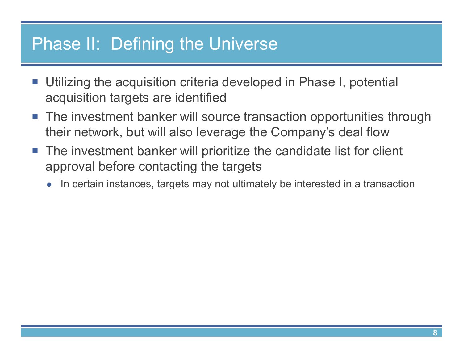#### Phase II: Defining the Universe

- $\overline{\mathcal{L}}$  Utilizing the acquisition criteria developed in Phase I, potential acquisition targets are identified
- $\Box$  The investment banker will source transaction opportunities through their network, but will also leverage the Company's deal flow
- The investment banker will prioritize the candidate list for client approval before contacting the targets
	- $\bullet$ In certain instances, targets may not ultimately be interested in a transaction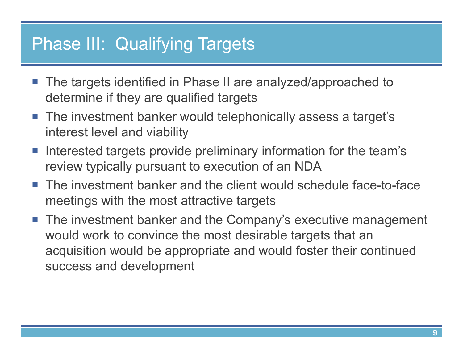#### Phase III: Qualifying Targets

- The targets identified in Phase II are analyzed/approached to determine if they are qualified targets
- The investment banker would telephonically assess a target's interest level and viability
- **Interested targets provide preliminary information for the team's** review typically pursuant to execution of an NDA
- $\mathbb{R}^n$  The investment banker and the client would schedule face-to-face meetings with the most attractive targets
- $\mathcal{L}_{\mathcal{A}}$  The investment banker and the Company's executive management would work to convince the most desirable targets that an acquisition would be appropriate and would foster their continued success and development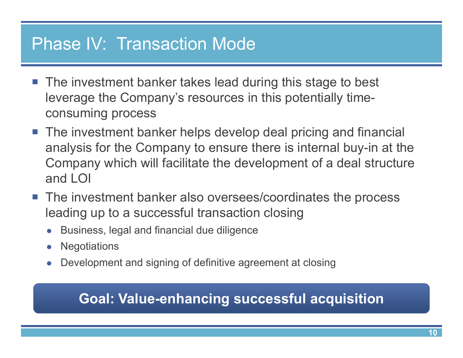#### Phase IV: Transaction Mode

- The investment banker takes lead during this stage to best leverage the Company's resources in this potentially timeconsuming process
- The investment banker helps develop deal pricing and financial analysis for the Company to ensure there is internal buy-in at the Company which will facilitate the development of a deal structure and LOI
- The investment banker also oversees/coordinates the process leading up to a successful transaction closing
	- $\bullet$ Business, legal and financial due diligence
	- $\bullet$ **Negotiations**
	- $\bullet$ Development and signing of definitive agreement at closing

#### **Goal: Value-enhancing successful acquisition**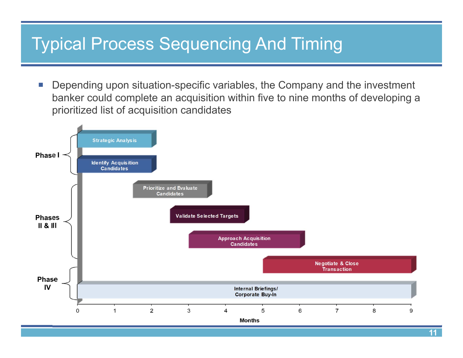#### Typical Process Sequencing And Timing

 $\mathcal{C}^{\mathcal{A}}$  Depending upon situation-specific variables, the Company and the investment banker could complete an acquisition within five to nine months of developing a prioritized list of acquisition candidates

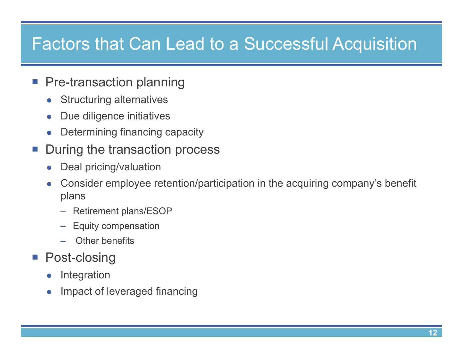#### Factors that Can Lead to a Successful Acquisition

- **Pre-transaction planning** 
	- $\bullet$ Structuring alternatives
	- $\bullet$ Due diligence initiatives
	- $\bullet$ Determining financing capacity
- p. During the transaction process
	- $\bullet$ Deal pricing/valuation
	- $\bullet$  Consider employee retention/participation in the acquiring company's benefit plans
		- Retirement plans/ESOP
		- –Equity compensation
		- Other benefits
- $\mathcal{L}_{\mathcal{A}}$  Post-closing
	- $\bullet$ Integration
	- $\bullet$ Impact of leveraged financing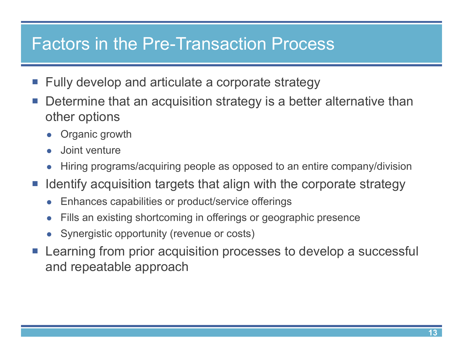#### Factors in the Pre-Transaction Process

- **Fully develop and articulate a corporate strategy**
- $\mathcal{L}_{\mathcal{A}}$  Determine that an acquisition strategy is a better alternative than other options
	- $\bullet$ Organic growth
	- $\bullet$ Joint venture
	- $\bullet$ Hiring programs/acquiring people as opposed to an entire company/division
- **If Identify acquisition targets that align with the corporate strategy** 
	- $\bullet$ Enhances capabilities or product/service offerings
	- $\bullet$ Fills an existing shortcoming in offerings or geographic presence
	- $\bullet$ Synergistic opportunity (revenue or costs)
- Learning from prior acquisition processes to develop a successful and repeatable approach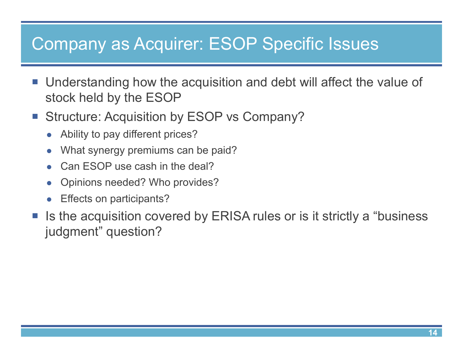### Company as Acquirer: ESOP Specific Issues

- Understanding how the acquisition and debt will affect the value of stock held by the ESOP
- **Structure: Acquisition by ESOP vs Company?** 
	- $\bullet$ Ability to pay different prices?
	- $\bullet$ What synergy premiums can be paid?
	- $\bullet$ Can ESOP use cash in the deal?
	- $\bullet$ Opinions needed? Who provides?
	- $\bullet$ Effects on participants?
- p. Is the acquisition covered by ERISA rules or is it strictly a "business judgment" question?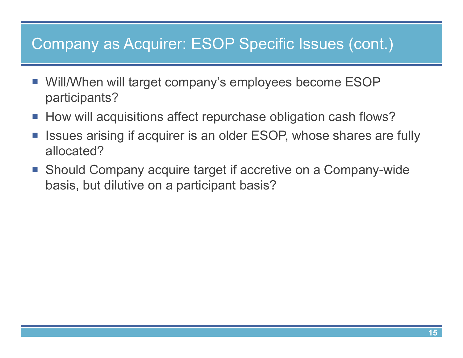#### Company as Acquirer: ESOP Specific Issues (cont.)

- Will/When will target company's employees become ESOP participants?
- How will acquisitions affect repurchase obligation cash flows?
- F. Issues arising if acquirer is an older ESOP, whose shares are fully allocated?
- Should Company acquire target if accretive on a Company-wide basis, but dilutive on a participant basis?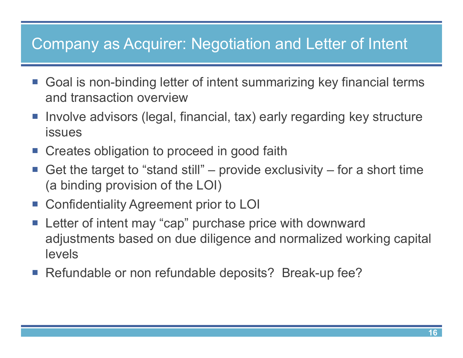#### Company as Acquirer: Negotiation and Letter of Intent

- Goal is non-binding letter of intent summarizing key financial terms and transaction overview
- Involve advisors (legal, financial, tax) early regarding key structure issues
- **EXP** Creates obligation to proceed in good faith
- p. Get the target to "stand still" – provide exclusivity – for a short time (a binding provision of the LOI)
- Confidentiality Agreement prior to LOI
- $\mathcal{L}_{\mathcal{A}}$  Letter of intent may "cap" purchase price with downward adjustments based on due diligence and normalized working capital levels
- Refundable or non refundable deposits? Break-up fee?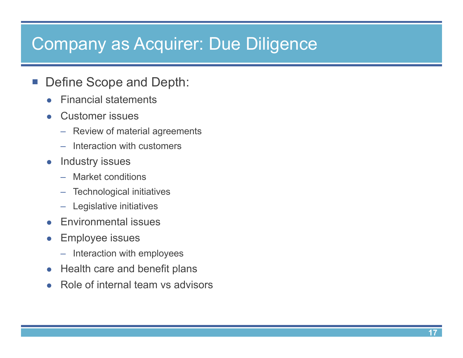#### Company as Acquirer: Due Diligence

#### $\mathcal{L}_{\mathcal{A}}$ Define Scope and Depth:

- $\bullet$ Financial statements
- $\bullet$  Customer issues
	- Review of material agreements
	- Interaction with customers
- $\bullet$  Industry issues
	- –Market conditions
	- Technological initiatives
	- Legislative initiatives
- $\bullet$ Environmental issues
- $\bullet$  Employee issues
	- Interaction with employees
- $\bullet$ Health care and benefit plans
- $\bullet$ Role of internal team vs advisors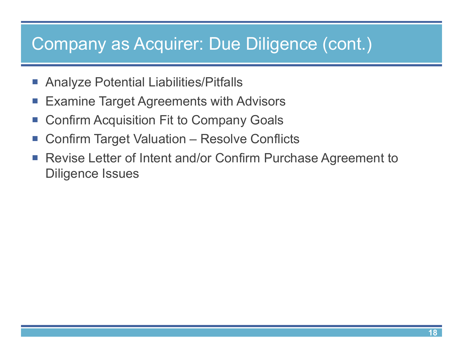### Company as Acquirer: Due Diligence (cont.)

- $\mathcal{L}_{\mathcal{A}}$ Analyze Potential Liabilities/Pitfalls
- $\mathcal{L}_{\mathcal{A}}$ Examine Target Agreements with Advisors
- $\mathcal{L}_{\mathcal{A}}$ Confirm Acquisition Fit to Company Goals
- $\mathcal{L}_{\mathcal{A}}$ Confirm Target Valuation – Resolve Conflicts
- $\mathcal{L}_{\mathcal{A}}$  Revise Letter of Intent and/or Confirm Purchase Agreement to Diligence Issues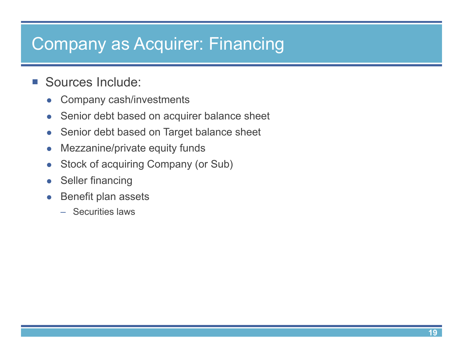## Company as Acquirer: Financing

#### $\mathcal{L}_{\mathcal{A}}$ Sources Include:

- $\bullet$ Company cash/investments
- $\bullet$ Senior debt based on acquirer balance sheet
- $\bullet$ Senior debt based on Target balance sheet
- $\bullet$ Mezzanine/private equity funds
- $\bullet$ Stock of acquiring Company (or Sub)
- $\bullet$ Seller financing
- $\bullet$  Benefit plan assets
	- Securities laws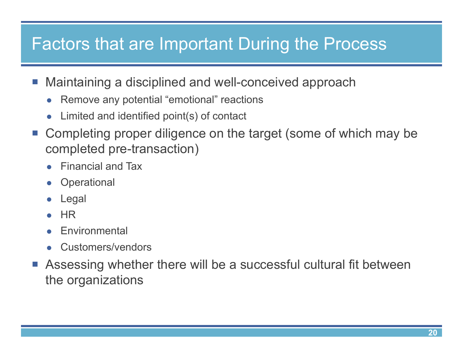### Factors that are Important During the Process

- $\mathcal{L}_{\mathcal{A}}$  Maintaining a disciplined and well-conceived approach
	- $\bullet$ Remove any potential "emotional" reactions
	- $\bullet$ Limited and identified point(s) of contact
- $\mathcal{L}_{\mathcal{A}}$  Completing proper diligence on the target (some of which may be completed pre-transaction)
	- $\bullet$ Financial and Tax
	- $\bullet$ **Operational**
	- $\bullet$ Legal
	- $\bullet$ **HR**
	- $\bullet$ **Environmental**
	- $\bullet$ Customers/vendors
- $\mathcal{L}_{\mathcal{A}}$  Assessing whether there will be a successful cultural fit between the organizations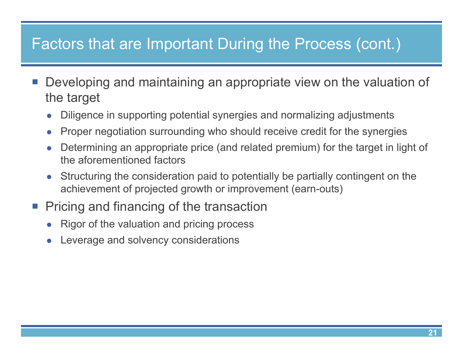#### Factors that are Important During the Process (cont.)

- p. Developing and maintaining an appropriate view on the valuation of the target
	- $\bullet$ Diligence in supporting potential synergies and normalizing adjustments
	- $\bullet$ Proper negotiation surrounding who should receive credit for the synergies
	- $\bullet$  Determining an appropriate price (and related premium) for the target in light of the aforementioned factors
	- $\bullet$  Structuring the consideration paid to potentially be partially contingent on the achievement of projected growth or improvement (earn-outs)
- **Pricing and financing of the transaction** 
	- $\bullet$ Rigor of the valuation and pricing process
	- $\bullet$ Leverage and solvency considerations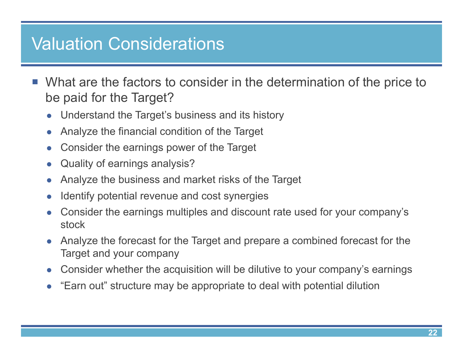#### Valuation Considerations

- p. What are the factors to consider in the determination of the price to be paid for the Target?
	- $\bullet$ Understand the Target's business and its history
	- $\bullet$ Analyze the financial condition of the Target
	- $\bullet$ Consider the earnings power of the Target
	- $\bullet$ Quality of earnings analysis?
	- $\bullet$ Analyze the business and market risks of the Target
	- $\bullet$ Identify potential revenue and cost synergies
	- $\bullet$  Consider the earnings multiples and discount rate used for your company's stock
	- $\bullet$  Analyze the forecast for the Target and prepare a combined forecast for the Target and your company
	- $\bullet$ Consider whether the acquisition will be dilutive to your company's earnings
	- $\bullet$ "Earn out" structure may be appropriate to deal with potential dilution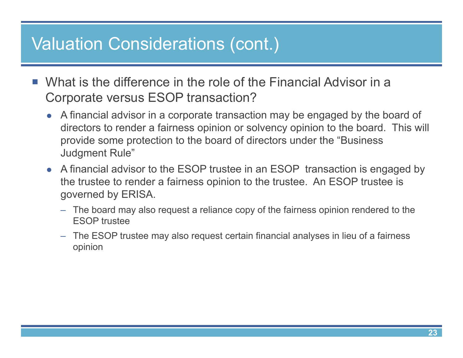#### Valuation Considerations (cont.)

- $\mathbb{R}^n$  What is the difference in the role of the Financial Advisor in a Corporate versus ESOP transaction?
	- A financial advisor in a corporate transaction may be engaged by the board of directors to render a fairness opinion or solvency opinion to the board. This will provide some protection to the board of directors under the "Business Judgment Rule"
	- A financial advisor to the ESOP trustee in an ESOP transaction is engaged by the trustee to render a fairness opinion to the trustee. An ESOP trustee is governed by ERISA.
		- The board may also request a reliance copy of the fairness opinion rendered to the ESOP trustee
		- The ESOP trustee may also request certain financial analyses in lieu of a fairness opinion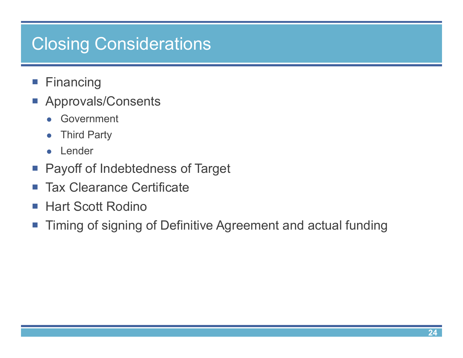## Closing Considerations

- $\mathcal{L}_{\mathcal{A}}$ Financing
- **Approvals/Consents** 
	- $\bullet$ Government
	- $\bullet$ Third Party
	- **•** Lender
- **Payoff of Indebtedness of Target**
- $\mathcal{L}_{\mathcal{A}}$ Tax Clearance Certificate
- $\mathcal{L}_{\mathcal{A}}$ Hart Scott Rodino
- $\mathcal{L}_{\mathcal{A}}$ Timing of signing of Definitive Agreement and actual funding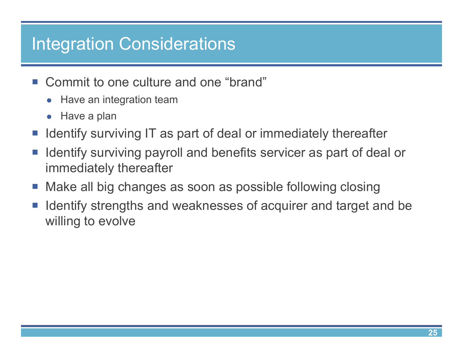## Integration Considerations

- Commit to one culture and one "brand"
	- **•** Have an integration team
	- Have a plan
- p. Identify surviving IT as part of deal or immediately thereafter
- $\mathcal{L}_{\mathcal{A}}$  Identify surviving payroll and benefits servicer as part of deal or immediately thereafter
- þ. Make all big changes as soon as possible following closing
- p. Identify strengths and weaknesses of acquirer and target and be willing to evolve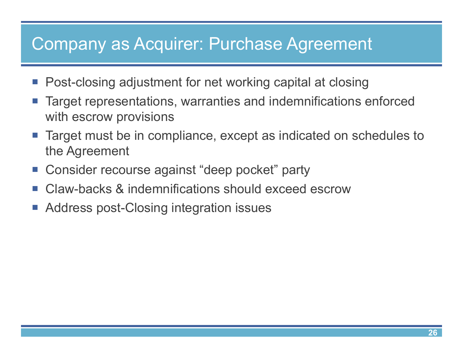## Company as Acquirer: Purchase Agreement

- Post-closing adjustment for net working capital at closing
- p. Target representations, warranties and indemnifications enforced with escrow provisions
- p. Target must be in compliance, except as indicated on schedules to the Agreement
- Consider recourse against "deep pocket" party
- p. Claw-backs & indemnifications should exceed escrow
- þ. Address post-Closing integration issues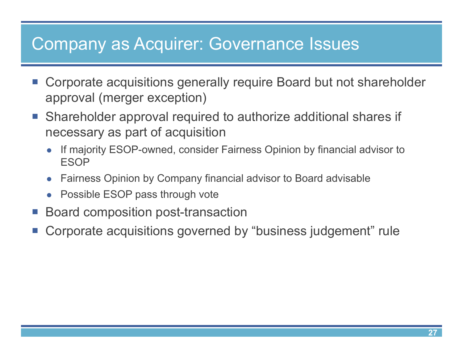#### Company as Acquirer: Governance Issues

- $\mathcal{L}_{\mathcal{A}}$  Corporate acquisitions generally require Board but not shareholder approval (merger exception)
- Shareholder approval required to authorize additional shares if necessary as part of acquisition
	- $\bullet$  If majority ESOP-owned, consider Fairness Opinion by financial advisor to ESOP
	- $\bullet$ Fairness Opinion by Company financial advisor to Board advisabl e
	- Possible ESOP pass through vote
- Board composition post-transaction
- p. Corporate acquisitions governed by "business judgement" rule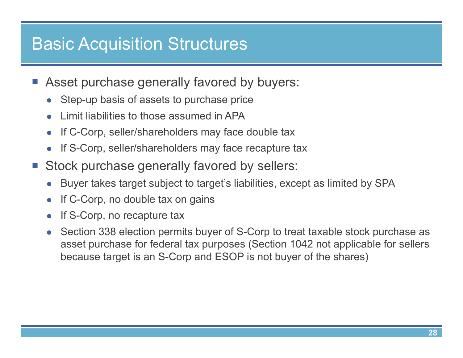#### Basic Acquisition Structures

- **Asset purchase generally favored by buyers:** 
	- $\bullet$ Step-up basis of assets to purchase price
	- $\bullet$ Limit liabilities to those assumed in APA
	- $\bullet$ If C-Corp, seller/shareholders may face double tax
	- $\bullet$ If S-Corp, seller/shareholders may face recapture tax
- **Stock purchase generally favored by sellers:** 
	- $\bullet$ Buyer takes target subject to target's liabilities, except as limited by SPA
	- $\bullet$ If C-Corp, no double tax on gains
	- $\bullet$ If S-Corp, no recapture tax
	- $\bullet$  Section 338 election permits buyer of S-Corp to treat taxable stock purchase as asset purchase for federal tax purposes (Section 1042 not applicable for sellers because target is an S-Corp and ESOP is not buyer of the shares)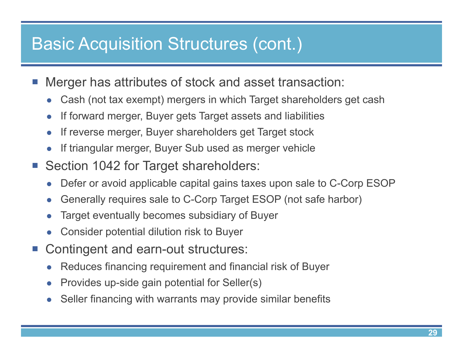#### Basic Acquisition Structures (cont.)

- p. Merger has attributes of stock and asset transaction:
	- $\bullet$ Cash (not tax exempt) mergers in which Target shareholders get cash
	- $\bullet$ If forward merger, Buyer gets Target assets and liabilities
	- $\bullet$ If reverse merger, Buyer shareholders get Target stock
	- $\bullet$ If triangular merger, Buyer Sub used as merger vehicle
- $\mathcal{L}_{\mathcal{A}}$  Section 1042 for Target shareholders:
	- $\bullet$ Defer or avoid applicable capital gains taxes upon sale to C-Corp ESOP
	- $\bullet$ Generally requires sale to C-Corp Target ESOP (not safe harbor)
	- $\bullet$ Target eventually becomes subsidiary of Buyer
	- $\bullet$ Consider potential dilution risk to Buyer
- $\mathcal{L}^{\text{max}}$  Contingent and earn-out structures:
	- $\bullet$ Reduces financing requirement and financial risk of Buyer
	- $\bullet$ Provides up-side gain potential for Seller(s)
	- $\bullet$ Seller financing with warrants may provide similar benefits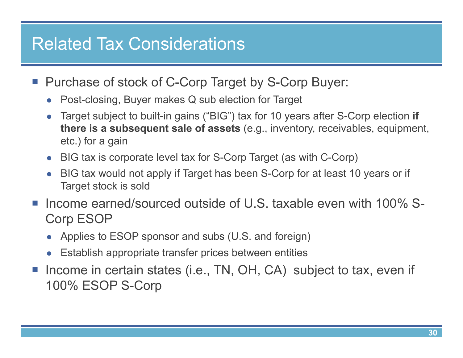#### Related Tax Considerations

- Purchase of stock of C-Corp Target by S-Corp Buyer:
	- Post-closing, Buyer makes Q sub election for Target
	- $\bullet$  Target subject to built-in gains ("BIG") tax for 10 years after S-Corp election **if there is a subsequent sale of assets** (e.g., inventory, receivables, equipment, etc.) for a gain
	- BIG tax is corporate level tax for S-Corp Target (as with C-Corp)
	- BIG tax would not apply if Target has been S-Corp for at least 10 years or if Target stock is sold
- Income earned/sourced outside of U.S. taxable even with 100% S-Corp ESOP
	- Applies to ESOP sponsor and subs (U.S. and foreign)
	- Establish appropriate transfer prices between entities
- Income in certain states (i.e., TN, OH, CA) subject to tax, even if 100% ESOP S-Corp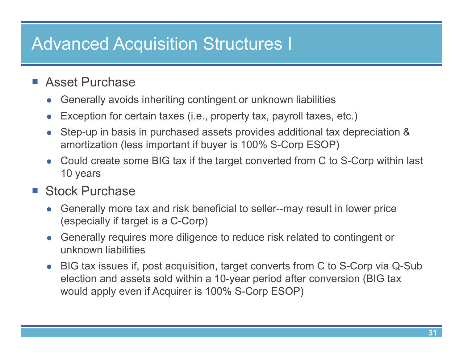## Advanced Acquisition Structures I

#### ■ Asset Purchase

- $\bullet$ Generally avoids inheriting contingent or unknown liabilities
- $\bullet$ Exception for certain taxes (i.e., property tax, payroll taxes, etc.)
- $\bullet$  Step-up in basis in purchased assets provides additional tax depreciation & amortization (less important if buyer is 100% S-Corp ESOP)
- Could create some BIG tax if the target converted from C to S-Corp within last 10 years

#### ■ Stock Purchase

- $\bullet$  Generally more tax and risk beneficial to seller--may result in lower price (especially if target is a C-Corp)
- $\bullet$  Generally requires more diligence to reduce risk related to contingent or unknown liabilities
- BIG tax issues if, post acquisition, target converts from C to S-Corp via Q-Sub election and assets sold within a 10-year period after conversion (BIG tax would apply even if Acquirer is 100% S-Corp ESOP)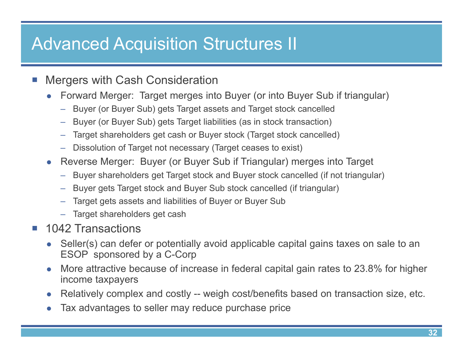## Advanced Acquisition Structures II

- $\mathbb{R}^3$  Mergers with Cash Consideration
	- $\bullet$  Forward Merger: Target merges into Buyer (or into Buyer Sub if triangular)
		- Buyer (or Buyer Sub) gets Target assets and Target stock cancelled
		- Buyer (or Buyer Sub) gets Target liabilities (as in stock transaction)
		- –Target shareholders get cash or Buyer stock (Target stock cancelled)
		- –Dissolution of Target not necessary (Target ceases to exist)
	- Reverse Merger: Buyer (or Buyer Sub if Triangular) merges into Target
		- –Buyer shareholders get Target stock and Buyer stock cancelled (if not triangular)
		- Buyer gets Target stock and Buyer Sub stock cancelled (if triangular)
		- –Target gets assets and liabilities of Buyer or Buyer Sub
		- Target shareholders get cash
- $\mathbb{R}^n$  1042 Transactions
	- $\bullet$  Seller(s) can defer or potentially avoid applicable capital gains taxes on sale to an ESOP sponsored by a C-Corp
	- $\bullet$  More attractive because of increase in federal capital gain rates to 23.8% for higher income taxpayers
	- $\bullet$ Relatively complex and costly -- weigh cost/benefits based on transaction size, etc.
	- $\bullet$ Tax advantages to seller may reduce purchase price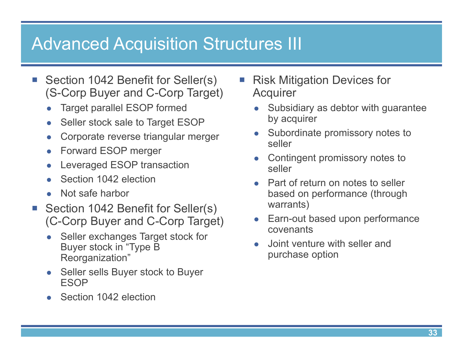#### Advanced Acquisition Structures III

- $\mathbb{R}^n$  Section 1042 Benefit for Seller(s) (S-Corp Buyer and C-Corp Target)
	- $\bullet$ Target parallel ESOP formed
	- $\bullet$ Seller stock sale to Target ESOP
	- $\bullet$ Corporate reverse triangular merger
	- $\bullet$ Forward ESOP merger
	- $\bullet$ Leveraged ESOP transaction
	- $\bullet$ Section 1042 election
	- $\bullet$ Not safe harbor
- $\mathcal{L}_{\mathcal{A}}$  Section 1042 Benefit for Seller(s) (C-Corp Buyer and C-Corp Target)
	- $\bullet$  Seller exchanges Target stock for Buyer stock in "Type B Reorganization"
	- Seller sells Buyer stock to Buyer ESOP
	- $\bullet$ Section 1042 election
- Risk Mitigation Devices for **Acquirer** 
	- $\bullet$  Subsidiary as debtor with guarantee by acquirer
	- Subordinate promissory notes to seller
	- $\bullet$  Contingent promissory notes to seller
	- Part of return on notes to seller based on performance (through warrants)
	- $\bullet$  Earn-out based upon performance covenants
	- $\bullet$  Joint venture with seller and purchase option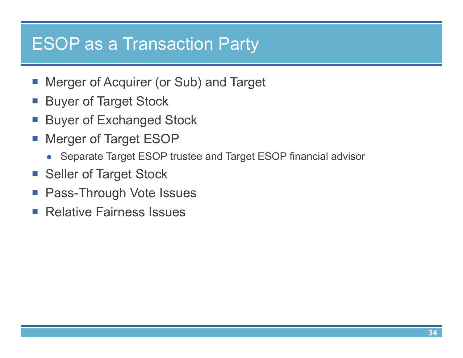#### ESOP as a Transaction Party

- $\mathcal{L}_{\mathcal{A}}$ Merger of Acquirer (or Sub) and Target
- **Buyer of Target Stock**
- $\mathcal{L}_{\mathcal{A}}$ Buyer of Exchanged Stock
- $\mathcal{L}_{\mathcal{A}}$  Merger of Target ESOP
	- Separate Target ESOP trustee and Target ESOP financial advisor
- **Seller of Target Stock**
- **Pass-Through Vote Issues**
- **Relative Fairness Issues**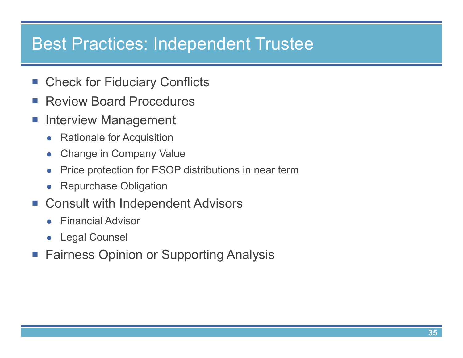#### Best Practices: Independent Trustee

- $\mathcal{L}_{\mathcal{A}}$ Check for Fiduciary Conflicts
- $\mathcal{L}_{\mathcal{A}}$ Review Board Procedures
- $\mathcal{L}_{\mathcal{A}}$  Interview Management
	- $\bullet$ Rationale for Acquisition
	- $\bullet$ Change in Company Value
	- $\bullet$ Price protection for ESOP distributions in near term
	- $\bullet$ Repurchase Obligation
- Consult with Independent Advisors
	- $\bullet$ Financial Advisor
	- $\bullet$ Legal Counsel
- p. Fairness Opinion or Supporting Analysis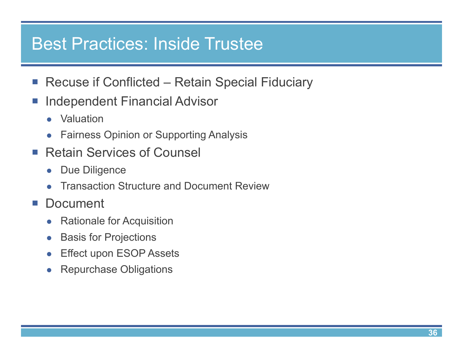#### Best Practices: Inside Trustee

- Recuse if Conflicted Retain Special Fiduciary
- $\mathcal{L}_{\mathcal{A}}$  Independent Financial Advisor
	- $\bullet$ Valuation
	- $\bullet$ Fairness Opinion or Supporting Analysis
- $\mathbb{R}^n$  Retain Services of Counsel
	- $\bullet$ Due Diligence
	- $\bullet$ Transaction Structure and Document Review
- $\mathcal{L}_{\mathcal{A}}$ **Document** 
	- $\bullet$ Rationale for Acquisition
	- $\bullet$ Basis for Projections
	- $\bullet$ Effect upon ESOP Assets
	- $\bullet$ Repurchase Obligations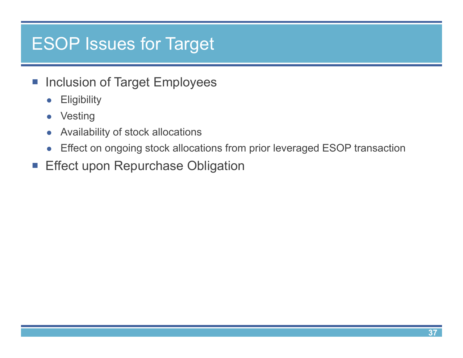#### ESOP Issues for Target

- **Inclusion of Target Employees** 
	- $\bullet$ **Eligibility**
	- $\bullet$ Vesting
	- $\bullet$ Availability of stock allocations
	- $\bullet$ Effect on ongoing stock allocations from prior leveraged ESOP transaction
- **Effect upon Repurchase Obligation**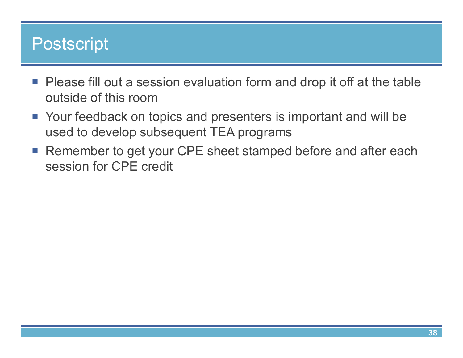#### Postscript

- Please fill out a session evaluation form and drop it off at the table outside of this room
- Your feedback on topics and presenters is important and will be used to develop subsequent TEA programs
- Remember to get your CPE sheet stamped before and after each session for CPE credit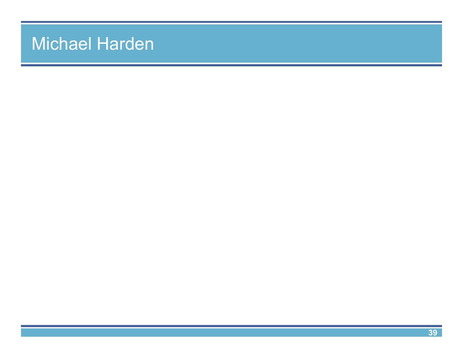#### Michael Harden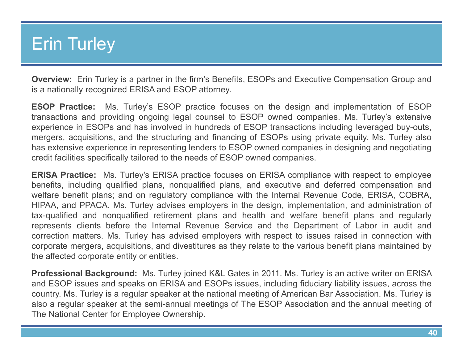#### Erin Turley

**Overview:** Erin Turley is <sup>a</sup> partner in the firm's Benefits, ESOPs and Executive Compensation Group and is <sup>a</sup> nationally recognized ERISA and ESOP attorney.

**ESOP Practice:** Ms. Turley's ESOP practice focuses on the design and implementation of ESOP transactions and providing ongoing legal counsel to ESOP owned companies. Ms. Turley's extensive experience in ESOPs and has involved in hundreds of ESOP transactions including leveraged buy-outs, mergers, acquisitions, and the structuring and financing of ESOPs using private equity. Ms. Turley also has extensive experience in representing lenders to ESOP owned companies in designing and negotiating credit facilities specifically tailored to the needs of ESOP owned companies.

**ERISA Practice:** Ms. Turley's ERISA practice focuses on ERISA compliance with respect to employee benefits, including qualified plans, nonqualified plans, and executive and deferred compensation and welfare benefit plans; and on regulatory compliance with the Internal Revenue Code, ERISA, COBRA, HIPAA, and PPACA. Ms. Turley advises employers in the design, implementation, and administration of tax-qualified and nonqualified retirement plans and health and welfare benefit plans and regularly represents clients before the Internal Revenue Service and the Department of Labor in audit and correction matters. Ms. Turley has advised employers with respect to issues raised in connection with corporate mergers, acquisitions, and divestitures as they relate to the various benefit plans maintained by the affected corporate entity or entities.

**Professional Background:** Ms. Turley joined K&L Gates in 2011. Ms. Turley is an active writer on ERISA and ESOP issues and speaks on ERISA and ESOPs issues, including fiduciary liability issues, across the country. Ms. Turley is <sup>a</sup> regular speaker at the national meeting of American Bar Association. Ms. Turley is also <sup>a</sup> regular speaker at the semi-annual meetings of The ESOP Association and the annual meeting of The National Center for Employee Ownership.